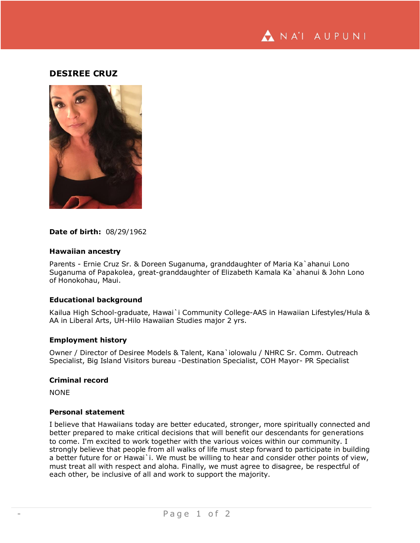

## **DESIREE CRUZ**



#### **Date of birth:** 08/29/1962

#### **Hawaiian ancestry**

Parents - Ernie Cruz Sr. & Doreen Suganuma, granddaughter of Maria Ka`ahanui Lono Suganuma of Papakolea, great-granddaughter of Elizabeth Kamala Ka`ahanui & John Lono of Honokohau, Maui.

## **Educational background**

Kailua High School-graduate, Hawai`i Community College-AAS in Hawaiian Lifestyles/Hula & AA in Liberal Arts, UH-Hilo Hawaiian Studies major 2 yrs.

#### **Employment history**

Owner / Director of Desiree Models & Talent, Kana`iolowalu / NHRC Sr. Comm. Outreach Specialist, Big Island Visitors bureau -Destination Specialist, COH Mayor- PR Specialist

#### **Criminal record**

NONE

## **Personal statement**

I believe that Hawaiians today are better educated, stronger, more spiritually connected and better prepared to make critical decisions that will benefit our descendants for generations to come. I'm excited to work together with the various voices within our community. I strongly believe that people from all walks of life must step forward to participate in building a better future for or Hawai`i. We must be willing to hear and consider other points of view, must treat all with respect and aloha. Finally, we must agree to disagree, be respectful of each other, be inclusive of all and work to support the majority.